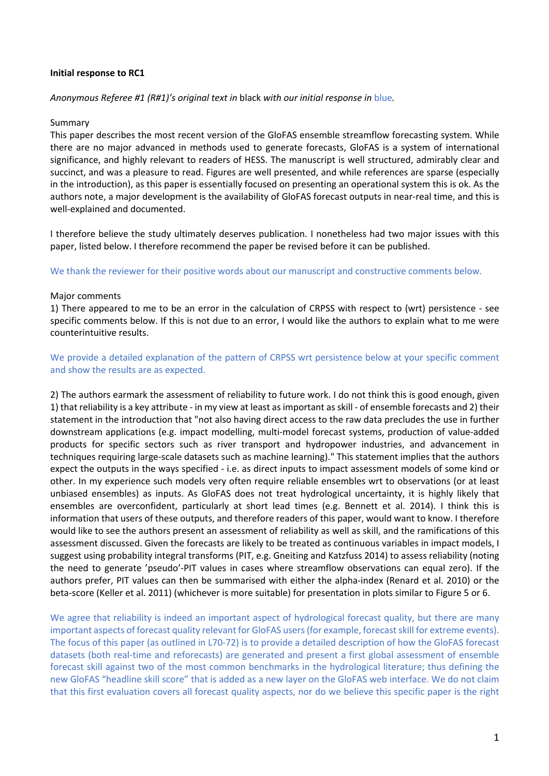## **Initial response to RC1**

## *Anonymous Referee #1 (R#1)'s original text in* black *with our initial response in* blue*.*

#### Summary

This paper describes the most recent version of the GloFAS ensemble streamflow forecasting system. While there are no major advanced in methods used to generate forecasts, GloFAS is a system of international significance, and highly relevant to readers of HESS. The manuscript is well structured, admirably clear and succinct, and was a pleasure to read. Figures are well presented, and while references are sparse (especially in the introduction), as this paper is essentially focused on presenting an operational system this is ok. As the authors note, a major development is the availability of GloFAS forecast outputs in near-real time, and this is well-explained and documented.

I therefore believe the study ultimately deserves publication. I nonetheless had two major issues with this paper, listed below. I therefore recommend the paper be revised before it can be published.

We thank the reviewer for their positive words about our manuscript and constructive comments below.

#### Major comments

1) There appeared to me to be an error in the calculation of CRPSS with respect to (wrt) persistence - see specific comments below. If this is not due to an error, I would like the authors to explain what to me were counterintuitive results.

We provide a detailed explanation of the pattern of CRPSS wrt persistence below at your specific comment and show the results are as expected.

2) The authors earmark the assessment of reliability to future work. I do not think this is good enough, given 1) that reliability is a key attribute - in my view at least as important as skill - of ensemble forecasts and 2) their statement in the introduction that "not also having direct access to the raw data precludes the use in further downstream applications (e.g. impact modelling, multi-model forecast systems, production of value-added products for specific sectors such as river transport and hydropower industries, and advancement in techniques requiring large-scale datasets such as machine learning)." This statement implies that the authors expect the outputs in the ways specified - i.e. as direct inputs to impact assessment models of some kind or other. In my experience such models very often require reliable ensembles wrt to observations (or at least unbiased ensembles) as inputs. As GloFAS does not treat hydrological uncertainty, it is highly likely that ensembles are overconfident, particularly at short lead times (e.g. Bennett et al. 2014). I think this is information that users of these outputs, and therefore readers of this paper, would want to know. I therefore would like to see the authors present an assessment of reliability as well as skill, and the ramifications of this assessment discussed. Given the forecasts are likely to be treated as continuous variables in impact models, I suggest using probability integral transforms (PIT, e.g. Gneiting and Katzfuss 2014) to assess reliability (noting the need to generate 'pseudo'-PIT values in cases where streamflow observations can equal zero). If the authors prefer, PIT values can then be summarised with either the alpha-index (Renard et al. 2010) or the beta-score (Keller et al. 2011) (whichever is more suitable) for presentation in plots similar to Figure 5 or 6.

We agree that reliability is indeed an important aspect of hydrological forecast quality, but there are many important aspects of forecast quality relevant for GloFAS users (for example, forecast skill for extreme events). The focus of this paper (as outlined in L70-72) is to provide a detailed description of how the GloFAS forecast datasets (both real-time and reforecasts) are generated and present a first global assessment of ensemble forecast skill against two of the most common benchmarks in the hydrological literature; thus defining the new GloFAS "headline skill score" that is added as a new layer on the GloFAS web interface. We do not claim that this first evaluation covers all forecast quality aspects, nor do we believe this specific paper is the right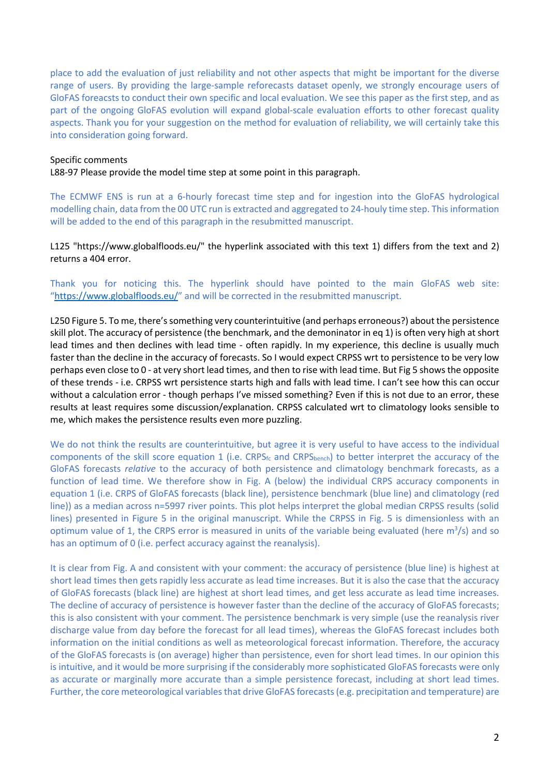place to add the evaluation of just reliability and not other aspects that might be important for the diverse range of users. By providing the large-sample reforecasts dataset openly, we strongly encourage users of GloFAS foreacsts to conduct their own specific and local evaluation. We see this paper as the first step, and as part of the ongoing GloFAS evolution will expand global-scale evaluation efforts to other forecast quality aspects. Thank you for your suggestion on the method for evaluation of reliability, we will certainly take this into consideration going forward.

#### Specific comments

L88-97 Please provide the model time step at some point in this paragraph.

The ECMWF ENS is run at a 6-hourly forecast time step and for ingestion into the GloFAS hydrological modelling chain, data from the 00 UTC run is extracted and aggregated to 24-houly time step. This information will be added to the end of this paragraph in the resubmitted manuscript.

L125 "https://www.globalfloods.eu/" the hyperlink associated with this text 1) differs from the text and 2) returns a 404 error.

Thank you for noticing this. The hyperlink should have pointed to the main GloFAS web site: "https://www.globalfloods.eu/" and will be corrected in the resubmitted manuscript.

L250 Figure 5. To me, there's something very counterintuitive (and perhaps erroneous?) about the persistence skill plot. The accuracy of persistence (the benchmark, and the demoninator in eq 1) is often very high at short lead times and then declines with lead time - often rapidly. In my experience, this decline is usually much faster than the decline in the accuracy of forecasts. So I would expect CRPSS wrt to persistence to be very low perhaps even close to 0 - at very short lead times, and then to rise with lead time. But Fig 5 shows the opposite of these trends - i.e. CRPSS wrt persistence starts high and falls with lead time. I can't see how this can occur without a calculation error - though perhaps I've missed something? Even if this is not due to an error, these results at least requires some discussion/explanation. CRPSS calculated wrt to climatology looks sensible to me, which makes the persistence results even more puzzling.

We do not think the results are counterintuitive, but agree it is very useful to have access to the individual components of the skill score equation 1 (i.e. CRPS $_{\text{fc}}$  and CRPS $_{\text{bench}}$ ) to better interpret the accuracy of the GloFAS forecasts *relative* to the accuracy of both persistence and climatology benchmark forecasts, as a function of lead time. We therefore show in Fig. A (below) the individual CRPS accuracy components in equation 1 (i.e. CRPS of GloFAS forecasts (black line), persistence benchmark (blue line) and climatology (red line)) as a median across n=5997 river points. This plot helps interpret the global median CRPSS results (solid lines) presented in Figure 5 in the original manuscript. While the CRPSS in Fig. 5 is dimensionless with an optimum value of 1, the CRPS error is measured in units of the variable being evaluated (here  $m^3/s$ ) and so has an optimum of 0 (i.e. perfect accuracy against the reanalysis).

It is clear from Fig. A and consistent with your comment: the accuracy of persistence (blue line) is highest at short lead times then gets rapidly less accurate as lead time increases. But it is also the case that the accuracy of GloFAS forecasts (black line) are highest at short lead times, and get less accurate as lead time increases. The decline of accuracy of persistence is however faster than the decline of the accuracy of GloFAS forecasts; this is also consistent with your comment. The persistence benchmark is very simple (use the reanalysis river discharge value from day before the forecast for all lead times), whereas the GloFAS forecast includes both information on the initial conditions as well as meteorological forecast information. Therefore, the accuracy of the GloFAS forecasts is (on average) higher than persistence, even for short lead times. In our opinion this is intuitive, and it would be more surprising if the considerably more sophisticated GloFAS forecasts were only as accurate or marginally more accurate than a simple persistence forecast, including at short lead times. Further, the core meteorological variables that drive GloFAS forecasts (e.g. precipitation and temperature) are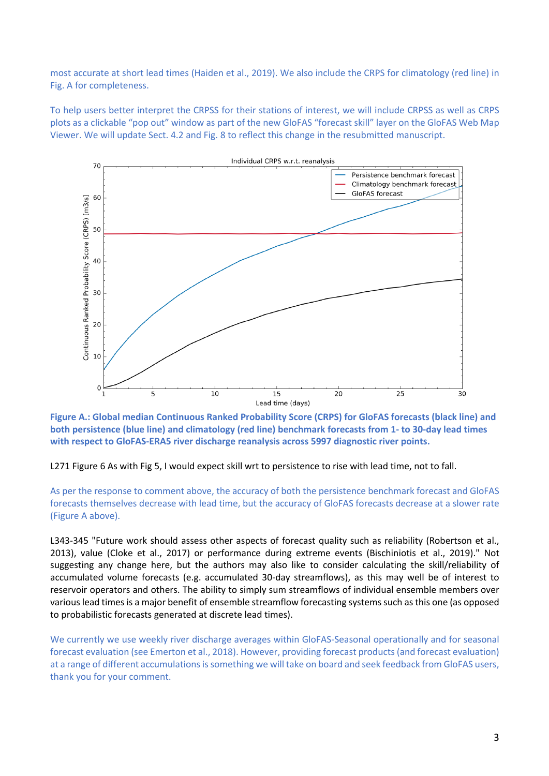most accurate at short lead times (Haiden et al., 2019). We also include the CRPS for climatology (red line) in Fig. A for completeness.

To help users better interpret the CRPSS for their stations of interest, we will include CRPSS as well as CRPS plots as a clickable "pop out" window as part of the new GloFAS "forecast skill" layer on the GloFAS Web Map Viewer. We will update Sect. 4.2 and Fig. 8 to reflect this change in the resubmitted manuscript.



**Figure A.: Global median Continuous Ranked Probability Score (CRPS) for GloFAS forecasts (black line) and both persistence (blue line) and climatology (red line) benchmark forecasts from 1- to 30-day lead times with respect to GloFAS-ERA5 river discharge reanalysis across 5997 diagnostic river points.**

L271 Figure 6 As with Fig 5, I would expect skill wrt to persistence to rise with lead time, not to fall.

As per the response to comment above, the accuracy of both the persistence benchmark forecast and GloFAS forecasts themselves decrease with lead time, but the accuracy of GloFAS forecasts decrease at a slower rate (Figure A above).

L343-345 "Future work should assess other aspects of forecast quality such as reliability (Robertson et al., 2013), value (Cloke et al., 2017) or performance during extreme events (Bischiniotis et al., 2019)." Not suggesting any change here, but the authors may also like to consider calculating the skill/reliability of accumulated volume forecasts (e.g. accumulated 30-day streamflows), as this may well be of interest to reservoir operators and others. The ability to simply sum streamflows of individual ensemble members over various lead times is a major benefit of ensemble streamflow forecasting systems such as this one (as opposed to probabilistic forecasts generated at discrete lead times).

We currently we use weekly river discharge averages within GloFAS-Seasonal operationally and for seasonal forecast evaluation (see Emerton et al., 2018). However, providing forecast products(and forecast evaluation) at a range of different accumulations is something we will take on board and seek feedback from GloFAS users, thank you for your comment.